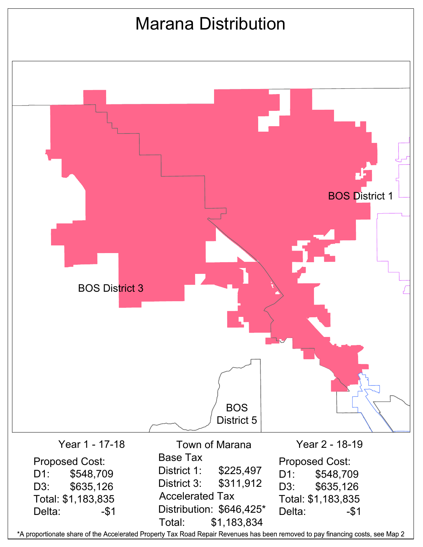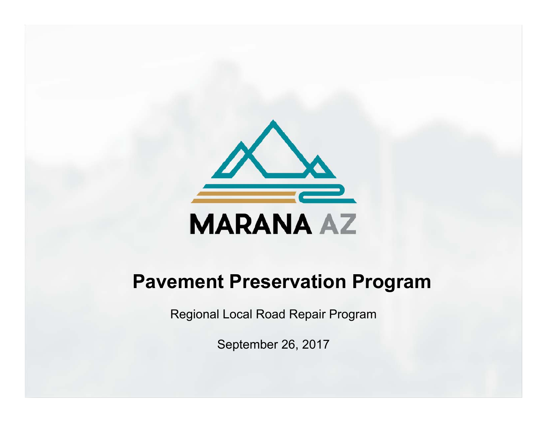

# **Pavement Preservation Program**

Regional Local Road Repair Program

September 26, 2017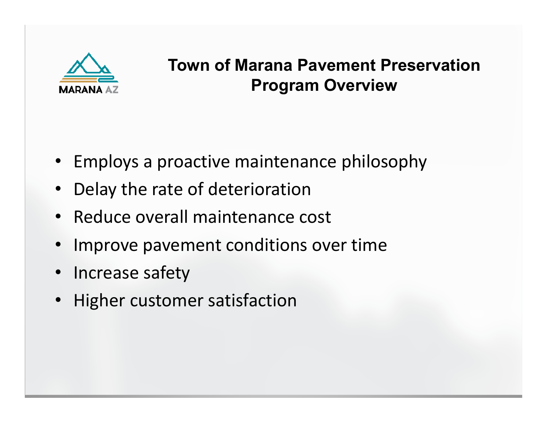

# **Town of Marana Pavement Preservation Program Overview**

- Employs a proactive maintenance philosophy
- Delay the rate of deterioration
- Reduce overall maintenance cost
- •Improve pavement conditions over time
- Increase safety
- •Higher customer satisfaction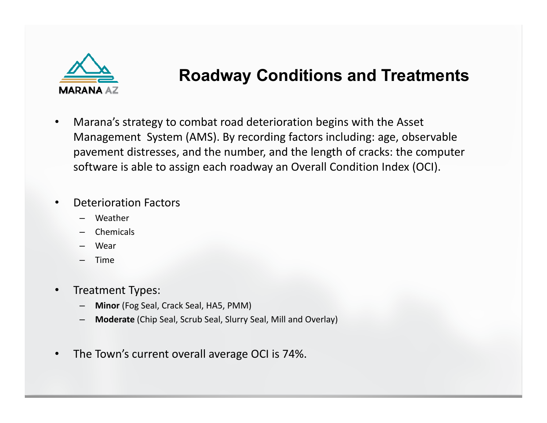

# **Roadway Conditions and Treatments**

 $\bullet$  Marana's strategy to combat road deterioration begins with the Asset Management System (AMS). By recording factors including: age, observable pavement distresses, and the number, and the length of cracks: the computer software is able to assign each roadway an Overall Condition Index (OCI).

#### •Deterioration Factors

- Weather
- Chemicals
- Wear
- Time
- • Treatment Types:
	- **Minor** (Fog Seal, Crack Seal, HA5, PMM)
	- **Moderate** (Chip Seal, Scrub Seal, Slurry Seal, Mill and Overlay)
- $\bullet$ The Town's current overall average OCI is 74%.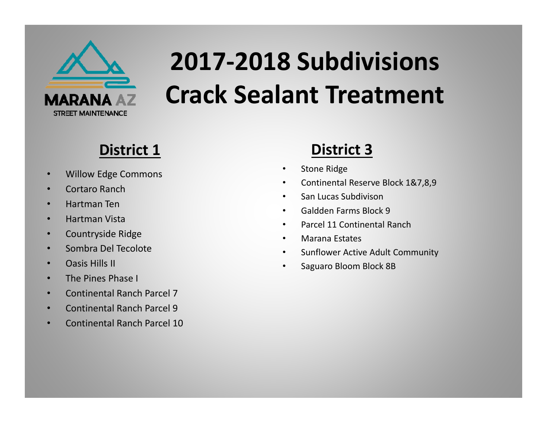

# **2017‐2018 Subdivisions Crack Sealant Treatment**

# **District 1**

- •Willow Edge Commons
- •Cortaro Ranch
- •Hartman Ten
- •Hartman Vista
- •Countryside Ridge
- •Sombra Del Tecolote
- •Oasis Hills II
- •The Pines Phase I
- •Continental Ranch Parcel 7
- •Continental Ranch Parcel 9
- •Continental Ranch Parcel 10

## **District 3**

- •Stone Ridge
- •Continental Reserve Block 1&7,8,9
- •San Lucas Subdivison
- •Galdden Farms Block 9
- •Parcel 11 Continental Ranch
- •Marana Estates
- $\bullet$ Sunflower Active Adult Community
- •Saguaro Bloom Block 8B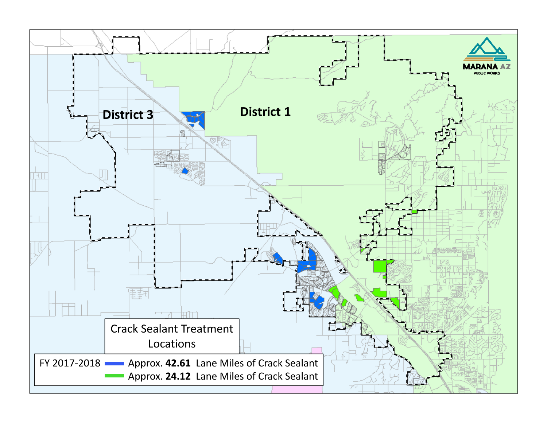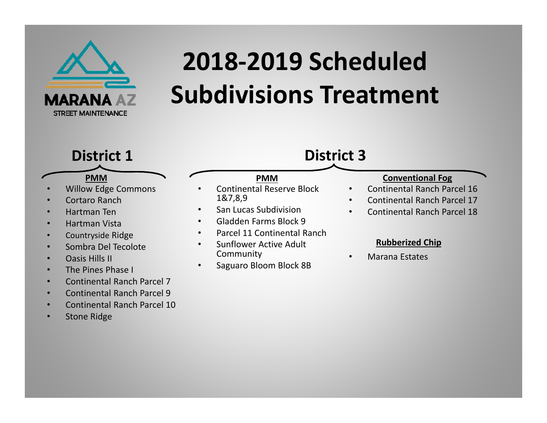

# **2018‐2019 Scheduled Subdivisions Treatment**

Continental Reserve Block

**PMM**

Parcel 11 Continental Ranch

San Lucas Subdivision

Gladden Farms Block 9

Sunflower Active Adult

Saguaro Bloom Block 8B

## **District 1**

### **PMM**

•Willow Edge Commons

•

•

•

•

•

•

1&7,8,9

Community

- •Cortaro Ranch
- •Hartman Ten
- •Hartman Vista
- •Countryside Ridge
- •Sombra Del Tecolote
- •Oasis Hills II
- •The Pines Phase I
- •Continental Ranch Parcel 7
- •Continental Ranch Parcel 9
- •Continental Ranch Parcel 10
- •Stone Ridge

## **District 3**

•

•

•

### **Conventional Fog**

- Continental Ranch Parcel 16
- •Continental Ranch Parcel 17
- Continental Ranch Parcel 18

### **Rubberized Chip**

Marana Estates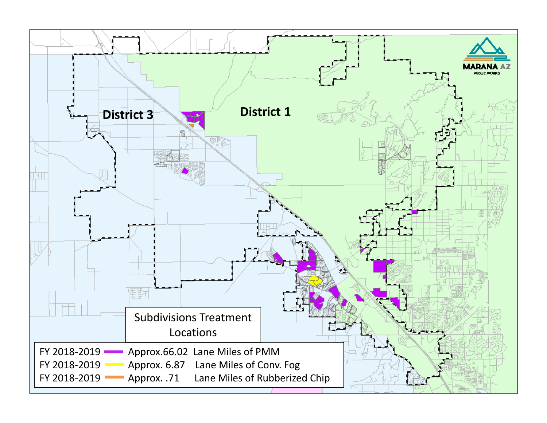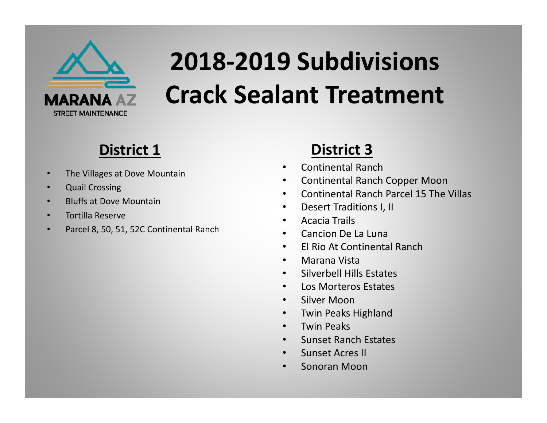

# **2018‐2019 Subdivisions Crack Sealant Treatment**

# **District 1**

- •The Villages at Dove Mountain
- •Quail Crossing
- •Bluffs at Dove Mountain
- •Tortilla Reserve
- •Parcel 8, 50, 51, 52C Continental Ranch

## **District 3**

- •Continental Ranch
- $\bullet$ Continental Ranch Copper Moon
- •Continental Ranch Parcel 15 The Villas
- $\bullet$ Desert Traditions I, II
- •Acacia Trails
- •Cancion De La Luna
- $\bullet$ El Rio At Continental Ranch
- •Marana Vista
- $\bullet$ Silverbell Hills Estates
- •Los Morteros Estates
- •Silver Moon
- $\bullet$ Twin Peaks Highland
- •Twin Peaks
- •Sunset Ranch Estates
- •Sunset Acres II
- •Sonoran Moon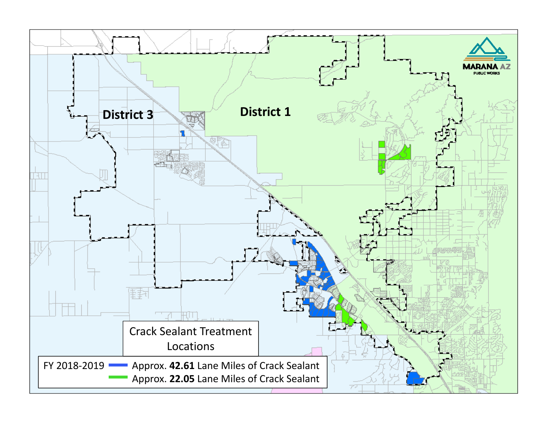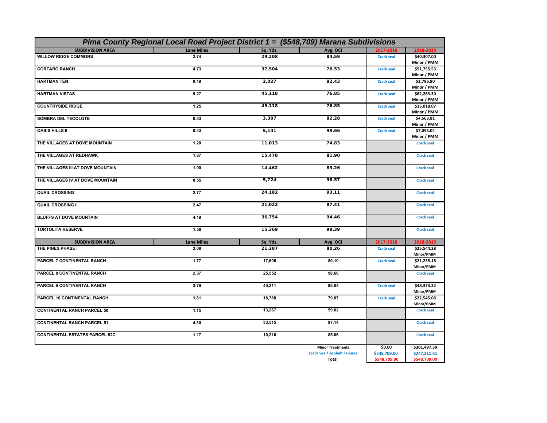| Pima County Regional Local Road Project District 1 = (\$548,709) Marana Subdivisions |                   |          |                                     |                   |                            |  |
|--------------------------------------------------------------------------------------|-------------------|----------|-------------------------------------|-------------------|----------------------------|--|
| <b>SUBDIVISION AREA</b>                                                              | <b>Lane Miles</b> | Sq. Yds. | Avg. OCI                            | 2017-2018         | 2018-2019                  |  |
| <b>WILLOW RIDGE COMMONS</b>                                                          | 2.74              | 29,208   | 84.59                               | <b>Crack seal</b> | \$40,307.00<br>Minor / PMM |  |
| <b>CORTARO RANCH</b>                                                                 | 4.73              | 37,504   | 76.53                               | <b>Crack seal</b> | \$51,755.53<br>Minor / PMM |  |
| <b>HARTMAN TEN</b>                                                                   | 0.19              | 2,027    | 82.43                               | <b>Crack seal</b> | \$2,796.80<br>Minor / PMM  |  |
| <b>HARTMAN VISTAS</b>                                                                | 5.27              | 45,118   | 76.85                               | <b>Crack seal</b> | \$62,263.30<br>Minor / PMM |  |
| <b>COUNTRYSIDE RIDGE</b>                                                             | 1.25              | 45,118   | 76.85                               | <b>Crack seal</b> | \$15,018.07<br>Minor / PMM |  |
| SOMBRA DEL TECOLOTE                                                                  | 0.33              | 3,307    | 82.28                               | <b>Crack seal</b> | \$4,563.81<br>Minor / PMM  |  |
| <b>OASIS HILLS II</b>                                                                | 0.43              | 5,141    | 99.66                               | <b>Crack seal</b> | \$7,095.04<br>Minor / PMM  |  |
| THE VILLAGES AT DOVE MOUNTAIN                                                        | 1.20              | 11,013   | 74.83                               |                   | <b>Crack seal</b>          |  |
| THE VILLAGES AT REDHAWK                                                              | 1.87              | 15,478   | 81.90                               |                   | <b>Crack seal</b>          |  |
| THE VILLAGES III AT DOVE MOUNTAIN                                                    | 1.90              | 14,462   | 83.26                               |                   | <b>Crack seal</b>          |  |
| THE VILLAGES IV AT DOVE MOUNTAIN                                                     | 0.55              | 5,724    | 96.57                               |                   | <b>Crack seal</b>          |  |
| <b>QUAIL CROSSING</b>                                                                | 2.77              | 24,182   | 93.11                               |                   | <b>Crack seal</b>          |  |
| <b>QUAIL CROSSING II</b>                                                             | 2.47              | 21,022   | 87.41                               |                   | <b>Crack seal</b>          |  |
| <b>BLUFFS AT DOVE MOUNTAIN</b>                                                       | 4.19              | 36,754   | 94.46                               |                   | <b>Crack seal</b>          |  |
| <b>TORTOLITA RESERVE</b>                                                             | 1.58              | 15,369   | 98.39                               |                   | <b>Crack seal</b>          |  |
| <b>SUBDIVISION AREA</b>                                                              | <b>Lane Miles</b> | Sq. Yds. | Avg. OCI                            | 2017-2018         | 2018-2019                  |  |
| THE PINES PHASE I                                                                    | 2.08              | 21,287   | 80.26                               | <b>Crack seal</b> | \$25,544.28<br>Minor/PMM   |  |
| <b>PARCEL 7 CONTINENTAL RANCH</b>                                                    | 1.77              | 17,696   | 80.10                               | <b>Crack seal</b> | \$21,235.18<br>Minor/PMM   |  |
| PARCEL 8 CONTINENTAL RANCH                                                           | 2.37              | 25,552   | 98.66                               |                   | <b>Crack seal</b>          |  |
| PARCEL 9 CONTINENTAL RANCH                                                           | 3.79              | 40,311   | 98.04                               | <b>Crack seal</b> | \$48,373.32<br>Minor/PMM   |  |
| <b>PARCEL 10 CONTINENTAL RANCH</b>                                                   | 1.81              | 18,788   | 79.07                               | <b>Crack seal</b> | \$22,545.06<br>Minor/PMM   |  |
| <b>CONTINENTAL RANCH PARCEL 50</b>                                                   | 1.15              | 13,267   | 99.02                               |                   | <b>Crack seal</b>          |  |
| <b>CONTINENTAL RANCH PARCEL 51</b>                                                   | 4.30              | 33,515   | 97.14                               |                   | <b>Crack seal</b>          |  |
| <b>CONTINENTAL ESTATES PARCEL 52C</b>                                                | 1.17              | 10,216   | 85.06                               |                   | <b>Crack seal</b>          |  |
|                                                                                      |                   |          | <b>Minor Treatments</b>             | \$0.00            | \$301,497.39               |  |
|                                                                                      |                   |          | <b>Crack Seal/ Asphalt Failures</b> | \$548,709.00      | \$247,211.61               |  |
|                                                                                      |                   |          | Total                               | \$548,709.00      | \$548,709.00               |  |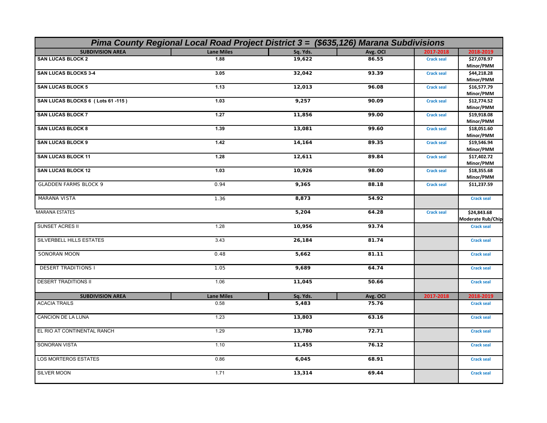| Pima County Regional Local Road Project District 3 = (\$635,126) Marana Subdivisions |                   |          |          |                   |                   |  |
|--------------------------------------------------------------------------------------|-------------------|----------|----------|-------------------|-------------------|--|
| <b>SUBDIVISION AREA</b>                                                              | <b>Lane Miles</b> | Sq. Yds. | Avg. OCI | 2017-2018         | 2018-2019         |  |
| <b>SAN LUCAS BLOCK 2</b>                                                             | 1.88              | 19,622   | 86.55    | <b>Crack seal</b> | \$27,078.97       |  |
|                                                                                      |                   |          |          |                   | Minor/PMM         |  |
| <b>SAN LUCAS BLOCKS 3-4</b>                                                          | 3.05              | 32,042   | 93.39    | <b>Crack seal</b> | \$44,218.28       |  |
|                                                                                      |                   |          |          |                   | Minor/PMM         |  |
| <b>SAN LUCAS BLOCK 5</b>                                                             | 1.13              | 12,013   | 96.08    | <b>Crack seal</b> | \$16,577.79       |  |
|                                                                                      |                   |          |          |                   | Minor/PMM         |  |
| SAN LUCAS BLOCKS 6 (Lots 61-115)                                                     | 1.03              | 9,257    | 90.09    | <b>Crack seal</b> | \$12,774.52       |  |
|                                                                                      |                   |          |          |                   | Minor/PMM         |  |
| <b>SAN LUCAS BLOCK 7</b>                                                             | 1.27              | 11,856   | 99.00    | <b>Crack seal</b> | \$19,918.08       |  |
|                                                                                      |                   |          |          |                   | Minor/PMM         |  |
| <b>SAN LUCAS BLOCK 8</b>                                                             | 1.39              | 13,081   | 99.60    | <b>Crack seal</b> | \$18,051.60       |  |
|                                                                                      |                   |          |          |                   | Minor/PMM         |  |
| <b>SAN LUCAS BLOCK 9</b>                                                             | 1.42              | 14,164   | 89.35    |                   | \$19,546.94       |  |
|                                                                                      |                   |          |          | <b>Crack seal</b> | Minor/PMM         |  |
| <b>SAN LUCAS BLOCK 11</b>                                                            | 1.28              |          | 89.84    |                   |                   |  |
|                                                                                      |                   | 12,611   |          | <b>Crack seal</b> | \$17,402.72       |  |
|                                                                                      |                   |          |          |                   | Minor/PMM         |  |
| <b>SAN LUCAS BLOCK 12</b>                                                            | 1.03              | 10,926   | 98.00    | <b>Crack seal</b> | \$18,355.68       |  |
|                                                                                      |                   |          |          |                   | Minor/PMM         |  |
| <b>GLADDEN FARMS BLOCK 9</b>                                                         | 0.94              | 9,365    | 88.18    | <b>Crack seal</b> | \$11,237.59       |  |
|                                                                                      |                   |          |          |                   |                   |  |
| <b>MARANA VISTA</b>                                                                  | 1.36              | 8,873    | 54.92    |                   | <b>Crack seal</b> |  |
|                                                                                      |                   |          |          |                   |                   |  |
| <b>MARANA ESTATES</b>                                                                |                   | 5,204    | 64.28    | <b>Crack seal</b> | \$24,843.68       |  |
|                                                                                      |                   |          |          |                   | Moderate Rub/Chip |  |
| SUNSET ACRES II                                                                      | 1.28              | 10,956   | 93.74    |                   | <b>Crack seal</b> |  |
|                                                                                      |                   |          |          |                   |                   |  |
| SILVERBELL HILLS ESTATES                                                             | 3.43              | 26,184   | 81.74    |                   | <b>Crack seal</b> |  |
|                                                                                      |                   |          |          |                   |                   |  |
| SONORAN MOON                                                                         | 0.48              | 5,662    | 81.11    |                   | <b>Crack seal</b> |  |
|                                                                                      |                   |          |          |                   |                   |  |
| <b>DESERT TRADITIONS I</b>                                                           | 1.05              | 9,689    | 64.74    |                   | <b>Crack seal</b> |  |
|                                                                                      |                   |          |          |                   |                   |  |
| <b>DESERT TRADITIONS II</b>                                                          | 1.06              | 11,045   | 50.66    |                   | <b>Crack seal</b> |  |
|                                                                                      |                   |          |          |                   |                   |  |
| <b>SUBDIVISION AREA</b>                                                              | <b>Lane Miles</b> | Sq. Yds. | Avg. OCI | 2017-2018         | 2018-2019         |  |
| <b>ACACIA TRAILS</b>                                                                 | 0.58              | 5,483    | 75.76    |                   | <b>Crack seal</b> |  |
|                                                                                      |                   |          |          |                   |                   |  |
| CANCION DE LA LUNA                                                                   | 1.23              | 13,803   | 63.16    |                   | <b>Crack seal</b> |  |
|                                                                                      |                   |          |          |                   |                   |  |
| EL RIO AT CONTINENTAL RANCH                                                          | 1.29              | 13,780   | 72.71    |                   | <b>Crack seal</b> |  |
|                                                                                      |                   |          |          |                   |                   |  |
| SONORAN VISTA                                                                        | 1.10              | 11,455   | 76.12    |                   | <b>Crack seal</b> |  |
|                                                                                      |                   |          |          |                   |                   |  |
| LOS MORTEROS ESTATES                                                                 | 0.86              | 6,045    | 68.91    |                   | <b>Crack seal</b> |  |
|                                                                                      |                   |          |          |                   |                   |  |
| SILVER MOON                                                                          | 1.71              | 13,314   | 69.44    |                   | <b>Crack seal</b> |  |
|                                                                                      |                   |          |          |                   |                   |  |
|                                                                                      |                   |          |          |                   |                   |  |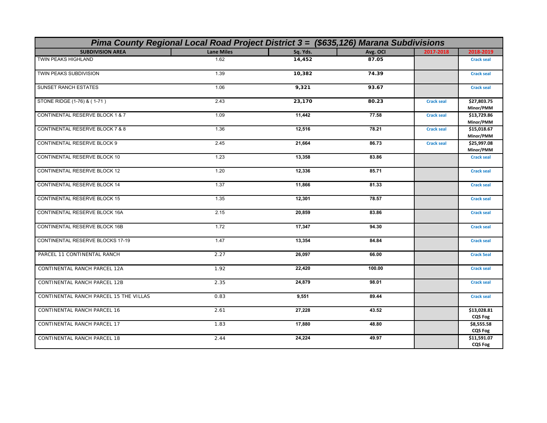| Pima County Regional Local Road Project District 3 = (\$635,126) Marana Subdivisions |                   |          |          |                   |                               |
|--------------------------------------------------------------------------------------|-------------------|----------|----------|-------------------|-------------------------------|
| <b>SUBDIVISION AREA</b>                                                              | <b>Lane Miles</b> | Sq. Yds. | Avg. OCI | 2017-2018         | 2018-2019                     |
| <b>TWIN PEAKS HIGHLAND</b>                                                           | 1.62              | 14,452   | 87.05    |                   | <b>Crack seal</b>             |
| <b>TWIN PEAKS SUBDIVISION</b>                                                        | 1.39              | 10,382   | 74.39    |                   | <b>Crack seal</b>             |
| <b>SUNSET RANCH ESTATES</b>                                                          | 1.06              | 9,321    | 93.67    |                   | <b>Crack seal</b>             |
| STONE RIDGE (1-76) & (1-71)                                                          | 2.43              | 23,170   | 80.23    | <b>Crack seal</b> | \$27,803.75<br>Minor/PMM      |
| CONTINENTAL RESERVE BLOCK 1 & 7                                                      | 1.09              | 11,442   | 77.58    | <b>Crack seal</b> | \$13,729.86<br>Minor/PMM      |
| CONTINENTAL RESERVE BLOCK 7 & 8                                                      | 1.36              | 12,516   | 78.21    | <b>Crack seal</b> | \$15,018.67<br>Minor/PMM      |
| <b>CONTINENTAL RESERVE BLOCK 9</b>                                                   | 2.45              | 21,664   | 86.73    | <b>Crack seal</b> | \$25,997.08<br>Minor/PMM      |
| CONTINENTAL RESERVE BLOCK 10                                                         | 1.23              | 13,358   | 83.86    |                   | <b>Crack seal</b>             |
| CONTINENTAL RESERVE BLOCK 12                                                         | 1.20              | 12,336   | 85.71    |                   | <b>Crack seal</b>             |
| <b>CONTINENTAL RESERVE BLOCK 14</b>                                                  | 1.37              | 11,866   | 81.33    |                   | <b>Crack seal</b>             |
| <b>CONTINENTAL RESERVE BLOCK 15</b>                                                  | 1.35              | 12,301   | 78.57    |                   | <b>Crack seal</b>             |
| CONTINENTAL RESERVE BLOCK 16A                                                        | 2.15              | 20,859   | 83.86    |                   | <b>Crack seal</b>             |
| <b>CONTINENTAL RESERVE BLOCK 16B</b>                                                 | 1.72              | 17,347   | 94.30    |                   | <b>Crack seal</b>             |
| CONTINENTAL RESERVE BLOCKS 17-19                                                     | 1.47              | 13,354   | 84.84    |                   | <b>Crack seal</b>             |
| PARCEL 11 CONTINENTAL RANCH                                                          | 2.27              | 26,097   | 66.00    |                   | <b>Crack Seal</b>             |
| CONTINENTAL RANCH PARCEL 12A                                                         | 1.92              | 22,420   | 100.00   |                   | <b>Crack seal</b>             |
| CONTINENTAL RANCH PARCEL 12B                                                         | 2.35              | 24,879   | 98.01    |                   | <b>Crack seal</b>             |
| CONTINENTAL RANCH PARCEL 15 THE VILLAS                                               | 0.83              | 9,551    | 89.44    |                   | <b>Crack seal</b>             |
| CONTINENTAL RANCH PARCEL 16                                                          | 2.61              | 27,228   | 43.52    |                   | \$13,028.81<br><b>CQS Fog</b> |
| CONTINENTAL RANCH PARCEL 17                                                          | 1.83              | 17,880   | 48.80    |                   | \$8,555.58<br><b>CQS Fog</b>  |
| CONTINENTAL RANCH PARCEL 18                                                          | 2.44              | 24,224   | 49.97    |                   | \$11,591.07<br><b>CQS Fog</b> |